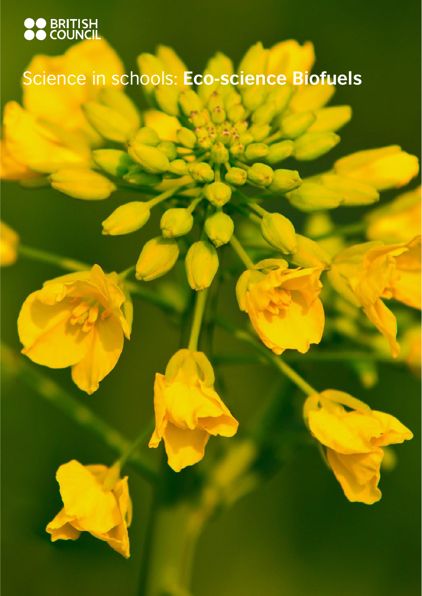

# Science in schools: **Eco-science Biofuels**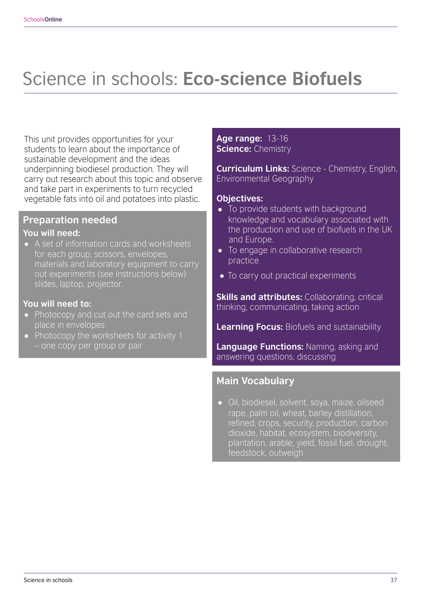## Science in schools: **Eco-science Biofuels**

This unit provides opportunities for your students to learn about the importance of sustainable development and the ideas underpinning biodiesel production. They will carry out research about this topic and observe and take part in experiments to turn recycled vegetable fats into oil and potatoes into plastic.

#### **Preparation needed You will need:**

• A set of information cards and worksheets for each group, scissors, envelopes, materials and laboratory equipment to carry out experiments (see instructions below) slides, laptop, projector.

#### **You will need to:**

- Photocopy and cut out the card sets and place in envelopes
- Photocopy the worksheets for activity 1 – one copy per group or pair

#### **Age range:** 13-16 **Science:** Chemistry

**Curriculum Links:** Science - Chemistry, English, Environmental Geography

#### **Objectives:**

- To provide students with background knowledge and vocabulary associated with the production and use of biofuels in the UK and Europe.
- To engage in collaborative research practice
- To carry out practical experiments

**Skills and attributes:** Collaborating, critical thinking, communicating, taking action

**Learning Focus:** Biofuels and sustainability

**Language Functions:** Naming, asking and answering questions, discussing

#### **Main Vocabulary**

• Oil, biodiesel, solvent, soya, maize, oilseed rape, palm oil, wheat, barley distillation, refined, crops, security, production, carbon dioxide, habitat, ecosystem, biodiversity, plantation, arable, yield, fossil fuel, drought, feedstock, outweigh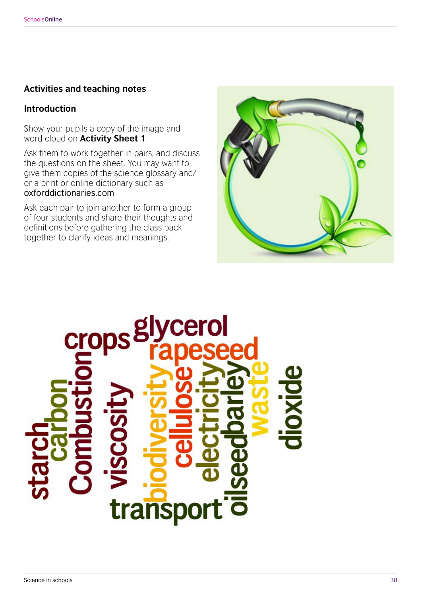#### **Activities and teaching notes**

#### **Introduction**

Show your pupils a copy of the image and word cloud on **Activity Sheet 1**.

Ask them to work together in pairs, and discuss the questions on the sheet. You may want to give them copies of the science glossary and/ or a print or online dictionary such as oxforddictionaries.com

Ask each pair to join another to form a group of four students and share their thoughts and definitions before gathering the class back together to clarify ideas and meanings.



# crop trans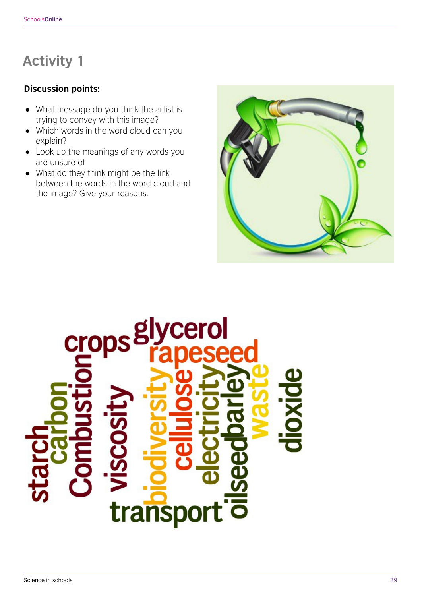#### **Discussion points:**

- What message do you think the artist is trying to convey with this image?
- Which words in the word cloud can you explain?
- Look up the meanings of any words you are unsure of
- What do they think might be the link between the words in the word cloud and the image? Give your reasons.



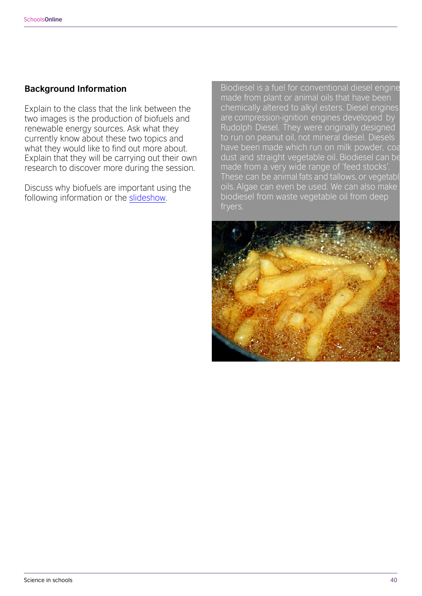#### **Background Information**

Explain to the class that the link between the two images is the production of biofuels and renewable energy sources. Ask what they currently know about these two topics and what they would like to find out more about. Explain that they will be carrying out their own research to discover more during the session.

Discuss why biofuels are important using the following information or the [slideshow.](https://www.britishcouncil.fr/sites/default/files/science_in_schools_virtual_staffroom_-_biodiesel_information_slides.ppt)

Biodiesel is a fuel for conventional diesel engine made from plant or animal oils that have been chemically altered to alkyl esters. Diesel engines are compression-ignition engines developed by Rudolph Diesel. They were originally designed to run on peanut oil, not mineral diesel. Diesels have been made which run on milk powder, coa dust and straight vegetable oil. Biodiesel can be made from a very wide range of 'feed stocks'. These can be animal fats and tallows, or vegetabl oils. Algae can even be used. We can also make biodiesel from waste vegetable oil from deep fryers.

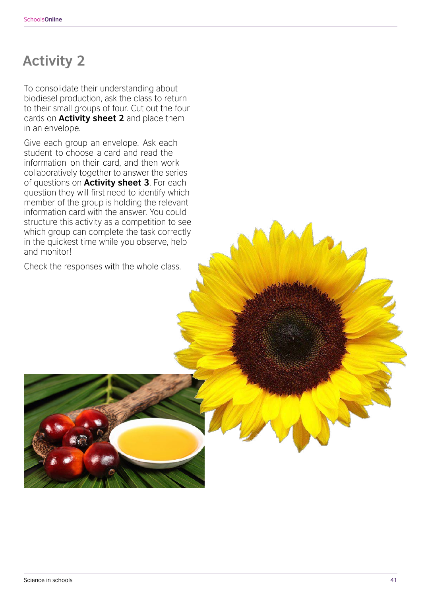To consolidate their understanding about biodiesel production, ask the class to return to their small groups of four. Cut out the four cards on **Activity sheet 2** and place them in an envelope.

Give each group an envelope. Ask each student to choose a card and read the information on their card, and then work collaboratively together to answer the series of questions on **Activity sheet 3**. For each question they will first need to identify which member of the group is holding the relevant information card with the answer. You could structure this activity as a competition to see which group can complete the task correctly in the quickest time while you observe, help and monitor!

Check the responses with the whole class.

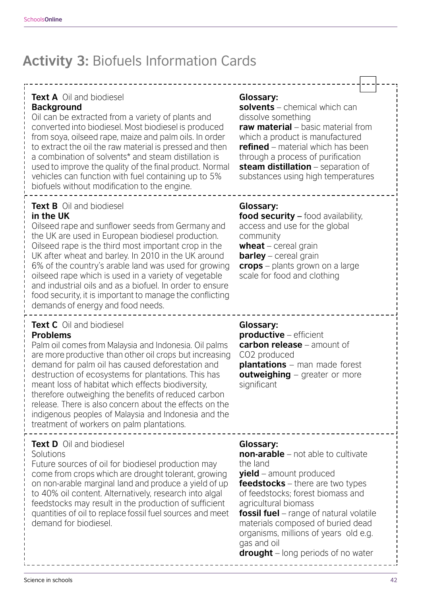## **Activity 3:** Biofuels Information Cards

#### **Text A** Oil and biodiesel

#### **Background**

Oil can be extracted from a variety of plants and converted into biodiesel. Most biodiesel is produced from soya, oilseed rape, maize and palm oils. In order to extract the oil the raw material is pressed and then a combination of solvents\* and steam distillation is used to improve the quality of the final product. Normal vehicles can function with fuel containing up to 5% biofuels without modification to the engine.

#### **Text B** Oil and biodiesel **in the UK**

Oilseed rape and sunflower seeds from Germany and the UK are used in European biodiesel production. Oilseed rape is the third most important crop in the UK after wheat and barley. In 2010 in the UK around 6% of the country's arable land was used for growing oilseed rape which is used in a variety of vegetable and industrial oils and as a biofuel. In order to ensure food security, it is important to manage the conflicting demands of energy and food needs.

## **Text C** Oil and biodiesel

#### **Problems**

Palm oil comes from Malaysia and Indonesia. Oil palms are more productive than other oil crops but increasing demand for palm oil has caused deforestation and destruction of ecosystems for plantations. This has meant loss of habitat which effects biodiversity, therefore outweighing the benefits of reduced carbon release. There is also concern about the effects on the indigenous peoples of Malaysia and Indonesia and the treatment of workers on palm plantations.

#### **Text D** Oil and biodiesel

#### Solutions

Future sources of oil for biodiesel production may come from crops which are drought tolerant, growing on non-arable marginal land and produce a yield of up to 40% oil content. Alternatively, research into algal feedstocks may result in the production of sufficient quantities of oil to replace fossil fuel sources and meet demand for biodiesel.

#### **Glossary:**

**solvents** – chemical which can dissolve something **raw material** – basic material from which a product is manufactured **refined** – material which has been through a process of purification **steam distillation** – separation of substances using high temperatures

#### **Glossary:**

**food security –** food availability, access and use for the global community

**wheat** – cereal grain **barley** – cereal grain **crops** – plants grown on a large scale for food and clothing

#### **Glossary:**

**productive** – efficient **carbon release** – amount of CO2 produced **plantations** – man made forest **outweighing** – greater or more significant

#### **Glossary:**

**non-arable** – not able to cultivate the land

**yield** – amount produced

**feedstocks** – there are two types of feedstocks; forest biomass and agricultural biomass

**fossil fuel** – range of natural volatile materials composed of buried dead organisms, millions of years old e.g. gas and oil

**drought** – long periods of no water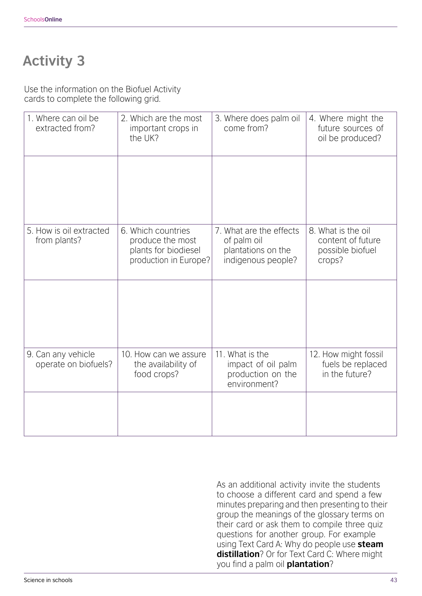Use the information on the Biofuel Activity cards to complete the following grid.

| 1. Where can oil be<br>extracted from?     | 2. Which are the most<br>important crops in<br>the UK?                                  | 3. Where does palm oil<br>come from?                                               | 4. Where might the<br>future sources of<br>oil be produced?           |
|--------------------------------------------|-----------------------------------------------------------------------------------------|------------------------------------------------------------------------------------|-----------------------------------------------------------------------|
|                                            |                                                                                         |                                                                                    |                                                                       |
| 5. How is oil extracted<br>from plants?    | 6. Which countries<br>produce the most<br>plants for biodiesel<br>production in Europe? | 7. What are the effects<br>of palm oil<br>plantations on the<br>indigenous people? | 8. What is the oil<br>content of future<br>possible biofuel<br>crops? |
|                                            |                                                                                         |                                                                                    |                                                                       |
| 9. Can any vehicle<br>operate on biofuels? | 10. How can we assure<br>the availability of<br>food crops?                             | 11. What is the<br>impact of oil palm<br>production on the<br>environment?         | 12. How might fossil<br>fuels be replaced<br>in the future?           |
|                                            |                                                                                         |                                                                                    |                                                                       |

As an additional activity invite the students to choose a different card and spend a few minutes preparing and then presenting to their group the meanings of the glossary terms on their card or ask them to compile three quiz questions for another group. For example using Text Card A: Why do people use **steam distillation**? Or for Text Card C: Where might you find a palm oil **plantation**?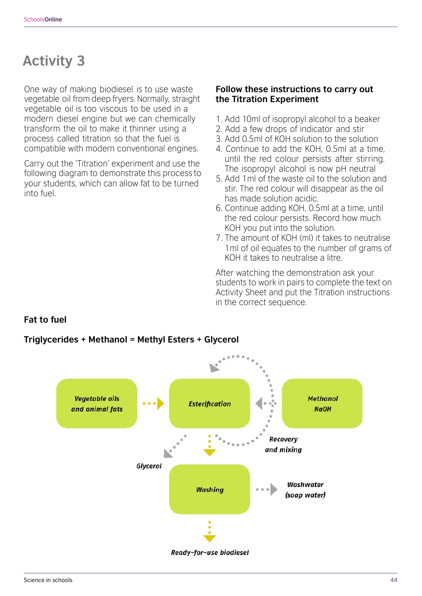One way of making biodiesel is to use waste vegetable oil from deep fryers. Normally, straight vegetable oil is too viscous to be used in a modern diesel engine but we can chemically transform the oil to make it thinner using a process called titration so that the fuel is compatible with modern conventional engines.

Carry out the 'Titration' experiment and use the following diagram to demonstrate this process to your students, which can allow fat to be turned into fuel.

#### **Follow these instructions to carry out the Titration Experiment**

- 1. Add 10ml of isopropyl alcohol to a beaker
- 2. Add a few drops of indicator and stir
- 3. Add 0.5ml of KOH solution to the solution
- 4. Continue to add the KOH, 0.5ml at a time, until the red colour persists after stirring. The isopropyl alcohol is now pH neutral
- 5. Add 1ml of the waste oil to the solution and stir. The red colour will disappear as the oil has made solution acidic.
- 6. Continue adding KOH, 0.5ml at a time, until the red colour persists. Record how much KOH you put into the solution.
- 7. The amount of KOH (ml) it takes to neutralise 1ml of oil equates to the number of grams of KOH it takes to neutralise a litre.

After watching the demonstration ask your students to work in pairs to complete the text on Activity Sheet and put the Titration instructions in the correct sequence.

#### **Fat to fuel**

## **Vegetable oils Methanol Esterification** and animal fats **NaOH Recovery** and mixing Glycerol Washwater **Washing** (soap water) Ready-for-use biodiesel

#### **Triglycerides + Methanol = Methyl Esters + Glycerol**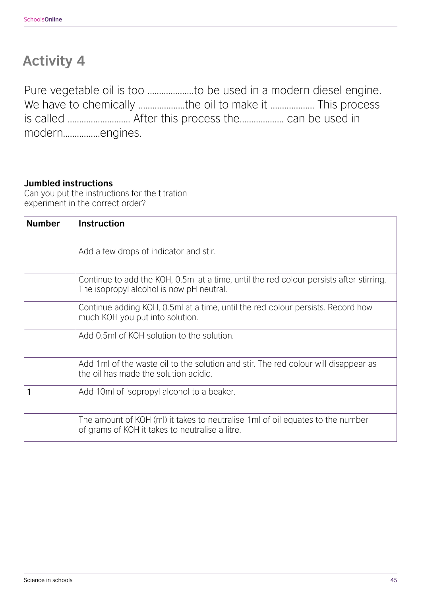Pure vegetable oil is too ......................to be used in a modern diesel engine. We have to chemically ....................the oil to make it ................... This process is called ........................... After this process the................... can be used in modern................engines.

#### **Jumbled instructions**

Can you put the instructions for the titration experiment in the correct order?

| <b>Number</b> | <b>Instruction</b>                                                                                                                  |
|---------------|-------------------------------------------------------------------------------------------------------------------------------------|
|               | Add a few drops of indicator and stir.                                                                                              |
|               | Continue to add the KOH, 0.5ml at a time, until the red colour persists after stirring.<br>The isopropyl alcohol is now pH neutral. |
|               | Continue adding KOH, 0.5ml at a time, until the red colour persists. Record how<br>much KOH you put into solution.                  |
|               | Add 0.5ml of KOH solution to the solution.                                                                                          |
|               | Add 1 ml of the waste oil to the solution and stir. The red colour will disappear as<br>the oil has made the solution acidic.       |
|               | Add 10ml of isopropyl alcohol to a beaker.                                                                                          |
|               | The amount of KOH (mI) it takes to neutralise 1 mI of oil equates to the number<br>of grams of KOH it takes to neutralise a litre.  |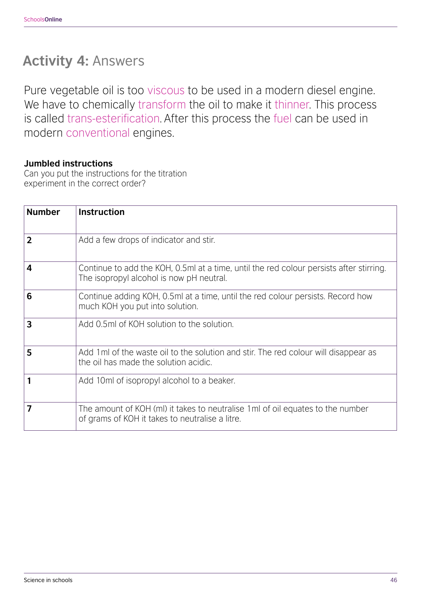## **Activity 4:** Answers

Pure vegetable oil is too viscous to be used in a modern diesel engine. We have to chemically transform the oil to make it thinner. This process is called trans-esterification. After this process the fuel can be used in modern conventional engines.

#### **Jumbled instructions**

Can you put the instructions for the titration experiment in the correct order?

| <b>Number</b> | <b>Instruction</b>                                                                                                                  |
|---------------|-------------------------------------------------------------------------------------------------------------------------------------|
| $\mathbf 2$   | Add a few drops of indicator and stir.                                                                                              |
| 4             | Continue to add the KOH, 0.5ml at a time, until the red colour persists after stirring.<br>The isopropyl alcohol is now pH neutral. |
| 6             | Continue adding KOH, 0.5ml at a time, until the red colour persists. Record how<br>much KOH you put into solution.                  |
| 3             | Add 0.5ml of KOH solution to the solution.                                                                                          |
| 5             | Add 1 ml of the waste oil to the solution and stir. The red colour will disappear as<br>the oil has made the solution acidic.       |
|               | Add 10ml of isopropyl alcohol to a beaker.                                                                                          |
| 7             | The amount of KOH (mI) it takes to neutralise 1 ml of oil equates to the number<br>of grams of KOH it takes to neutralise a litre.  |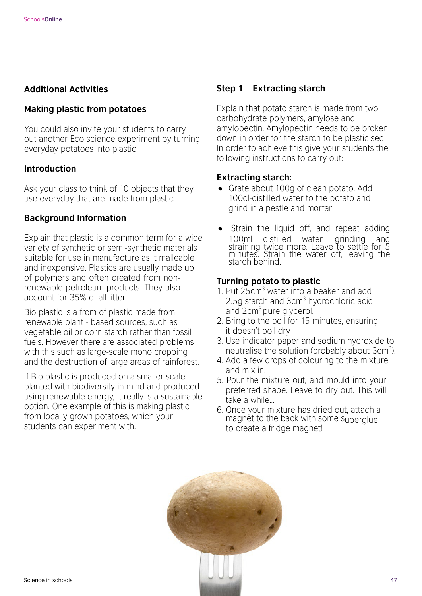#### **Additional Activities**

#### **Making plastic from potatoes**

You could also invite your students to carry out another Eco science experiment by turning everyday potatoes into plastic.

#### **Introduction**

Ask your class to think of 10 objects that they use everyday that are made from plastic.

#### **Background Information**

Explain that plastic is a common term for a wide variety of synthetic or semi-synthetic materials suitable for use in manufacture as it malleable and inexpensive. Plastics are usually made up of polymers and often created from nonrenewable petroleum products. They also account for 35% of all litter.

Bio plastic is a from of plastic made from renewable plant - based sources, such as vegetable oil or corn starch rather than fossil fuels. However there are associated problems with this such as large-scale mono cropping and the destruction of large areas of rainforest.

If Bio plastic is produced on a smaller scale, planted with biodiversity in mind and produced using renewable energy, it really is a sustainable option. One example of this is making plastic from locally grown potatoes, which your students can experiment with.

#### **Step 1 – Extracting starch**

Explain that potato starch is made from two carbohydrate polymers, amylose and amylopectin. Amylopectin needs to be broken down in order for the starch to be plasticised. In order to achieve this give your students the following instructions to carry out:

#### **Extracting starch:**

- Grate about 100g of clean potato. Add 100cl-distilled water to the potato and grind in a pestle and mortar
- Strain the liquid off, and repeat adding<br>100ml distilled water, grinding and 100ml distilled water, grinding and straining twice more. Leave to settle for 5 minutes. Strain the water off, leaving the starch behind.

#### **Turning potato to plastic**

- 1. Put 25cm<sup>3</sup> water into a beaker and add 2.5g starch and 3cm<sup>3</sup> hydrochloric acid and 2cm<sup>3</sup> pure glycerol.
- 2. Bring to the boil for 15 minutes, ensuring it doesn't boil dry
- 3. Use indicator paper and sodium hydroxide to neutralise the solution (probably about  $3 \text{cm}^3$ ).
- 4. Add a few drops of colouring to the mixture and mix in.
- 5. Pour the mixture out, and mould into your preferred shape. Leave to dry out. This will take a while…
- magnet to the back with some superglue to create a fridge magnet! 6. Once your mixture has dried out, attach a